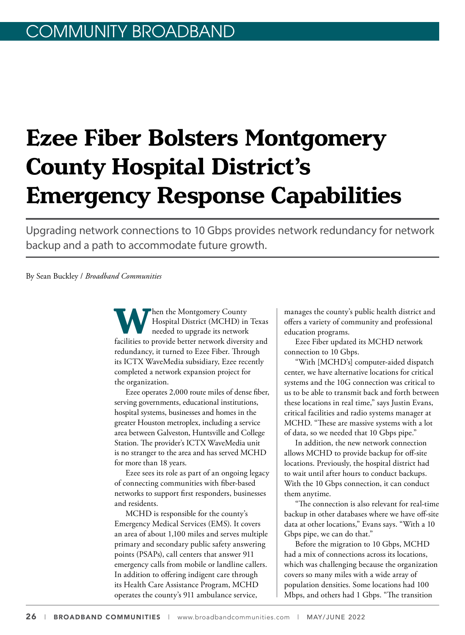# **Ezee Fiber Bolsters Montgomery County Hospital District's Emergency Response Capabilities**

Upgrading network connections to 10 Gbps provides network redundancy for network backup and a path to accommodate future growth.

By Sean Buckley / *Broadband Communities*

**WALER INCOCOUNTER MONTGOMER THE MONTGOMER HOLD SET AND MONETH THE MONETH AND MONETH AND MONETH AND MONETH AND MONETH AND MONETH AND MONETH AND MONETH AND MONETH AND MONETH AND MONETH AND MONETH AND MONETH AND MONETH AND M** Hospital District (MCHD) in Texas needed to upgrade its network redundancy, it turned to Ezee Fiber. Through its ICTX WaveMedia subsidiary, Ezee recently completed a network expansion project for the organization.

Ezee operates 2,000 route miles of dense fiber, serving governments, educational institutions, hospital systems, businesses and homes in the greater Houston metroplex, including a service area between Galveston, Huntsville and College Station. The provider's ICTX WaveMedia unit is no stranger to the area and has served MCHD for more than 18 years.

Ezee sees its role as part of an ongoing legacy of connecting communities with fiber-based networks to support first responders, businesses and residents.

MCHD is responsible for the county's Emergency Medical Services (EMS). It covers an area of about 1,100 miles and serves multiple primary and secondary public safety answering points (PSAPs), call centers that answer 911 emergency calls from mobile or landline callers. In addition to offering indigent care through its Health Care Assistance Program, MCHD operates the county's 911 ambulance service,

manages the county's public health district and offers a variety of community and professional education programs.

Ezee Fiber updated its MCHD network connection to 10 Gbps.

"With [MCHD's] computer-aided dispatch center, we have alternative locations for critical systems and the 10G connection was critical to us to be able to transmit back and forth between these locations in real time," says Justin Evans, critical facilities and radio systems manager at MCHD. "These are massive systems with a lot of data, so we needed that 10 Gbps pipe."

In addition, the new network connection allows MCHD to provide backup for off-site locations. Previously, the hospital district had to wait until after hours to conduct backups. With the 10 Gbps connection, it can conduct them anytime.

"The connection is also relevant for real-time backup in other databases where we have off-site data at other locations," Evans says. "With a 10 Gbps pipe, we can do that."

Before the migration to 10 Gbps, MCHD had a mix of connections across its locations, which was challenging because the organization covers so many miles with a wide array of population densities. Some locations had 100 Mbps, and others had 1 Gbps. "The transition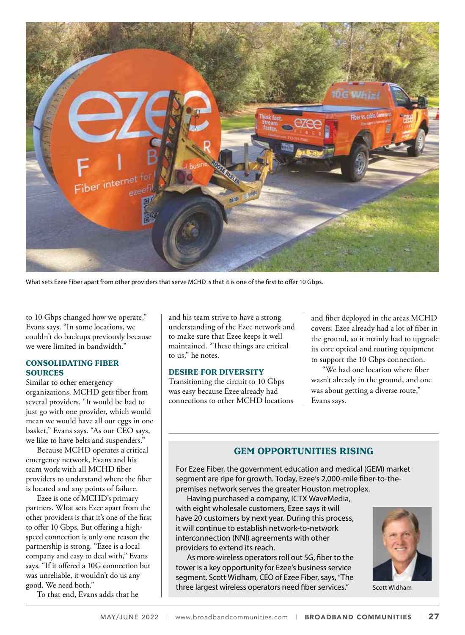

What sets Ezee Fiber apart from other providers that serve MCHD is that it is one of the first to offer 10 Gbps.

to 10 Gbps changed how we operate," Evans says. "In some locations, we couldn't do backups previously because we were limited in bandwidth."

#### **CONSOLIDATING FIBER SOURCES**

Similar to other emergency organizations, MCHD gets fiber from several providers. "It would be bad to just go with one provider, which would mean we would have all our eggs in one basket," Evans says. "As our CEO says, we like to have belts and suspenders."

Because MCHD operates a critical emergency network, Evans and his team work with all MCHD fiber providers to understand where the fiber is located and any points of failure.

Ezee is one of MCHD's primary partners. What sets Ezee apart from the other providers is that it's one of the first to offer 10 Gbps. But offering a highspeed connection is only one reason the partnership is strong. "Ezee is a local company and easy to deal with," Evans says. "If it offered a 10G connection but was unreliable, it wouldn't do us any good. We need both."

To that end, Evans adds that he

and his team strive to have a strong understanding of the Ezee network and to make sure that Ezee keeps it well maintained. "These things are critical to us," he notes.

#### **DESIRE FOR DIVERSITY**

Transitioning the circuit to 10 Gbps was easy because Ezee already had connections to other MCHD locations and fiber deployed in the areas MCHD covers. Ezee already had a lot of fiber in the ground, so it mainly had to upgrade its core optical and routing equipment to support the 10 Gbps connection.

"We had one location where fiber wasn't already in the ground, and one was about getting a diverse route," Evans says.

### **GEM OPPORTUNITIES RISING**

For Ezee Fiber, the government education and medical (GEM) market segment are ripe for growth. Today, Ezee's 2,000-mile fiber-to-thepremises network serves the greater Houston metroplex.

Having purchased a company, ICTX WaveMedia, with eight wholesale customers, Ezee says it will have 20 customers by next year. During this process, it will continue to establish network-to-network interconnection (NNI) agreements with other providers to extend its reach.

As more wireless operators roll out 5G, fiber to the tower is a key opportunity for Ezee's business service segment. Scott Widham, CEO of Ezee Fiber, says, "The three largest wireless operators need fiber services." Scott Widham